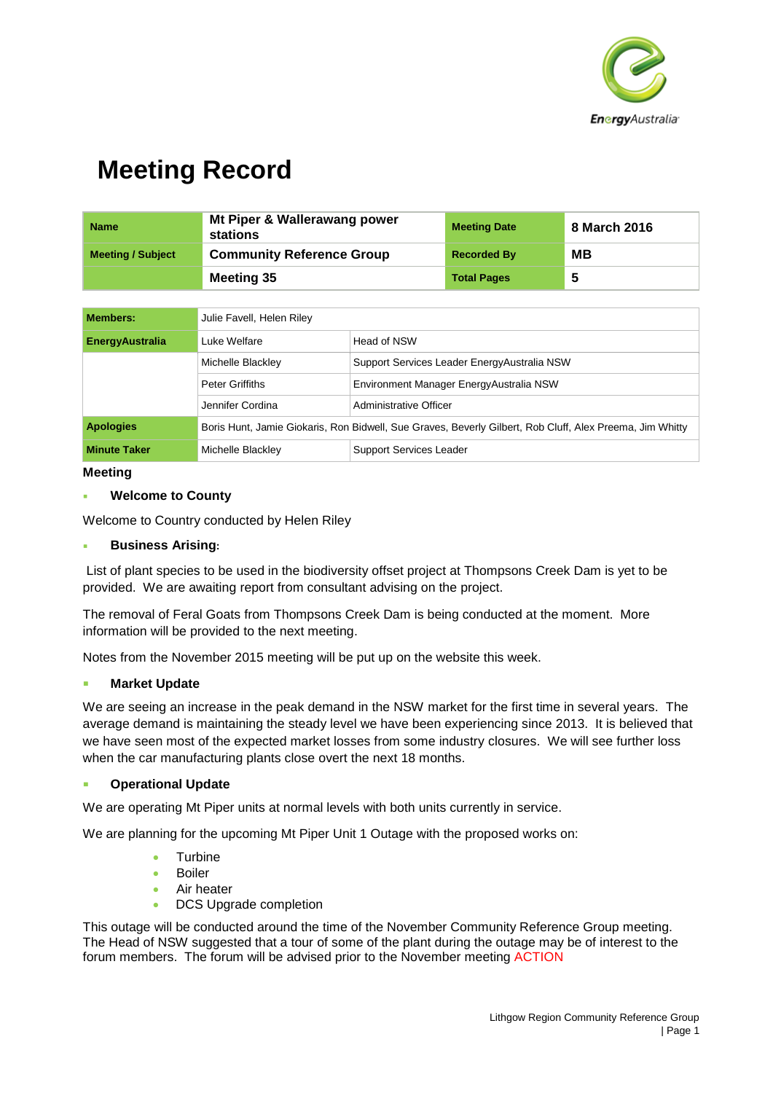

| <b>Name</b>              | Mt Piper & Wallerawang power<br>stations | <b>Meeting Date</b> | 8 March 2016 |
|--------------------------|------------------------------------------|---------------------|--------------|
| <b>Meeting / Subject</b> | <b>Community Reference Group</b>         | <b>Recorded By</b>  | MВ           |
|                          | Meeting 35                               | <b>Total Pages</b>  | 5            |

| <b>Members:</b>        | Julie Favell, Helen Riley                                                                                |                                              |  |
|------------------------|----------------------------------------------------------------------------------------------------------|----------------------------------------------|--|
| <b>EnergyAustralia</b> | Luke Welfare                                                                                             | Head of NSW                                  |  |
|                        | Michelle Blackley                                                                                        | Support Services Leader Energy Australia NSW |  |
|                        | <b>Peter Griffiths</b>                                                                                   | Environment Manager Energy Australia NSW     |  |
|                        | Jennifer Cordina                                                                                         | Administrative Officer                       |  |
| <b>Apologies</b>       | Boris Hunt, Jamie Giokaris, Ron Bidwell, Sue Graves, Beverly Gilbert, Rob Cluff, Alex Preema, Jim Whitty |                                              |  |
| <b>Minute Taker</b>    | Michelle Blackley                                                                                        | <b>Support Services Leader</b>               |  |

#### **Meeting**

#### **Welcome to County**

Welcome to Country conducted by Helen Riley

#### **Business Arising:**

List of plant species to be used in the biodiversity offset project at Thompsons Creek Dam is yet to be provided. We are awaiting report from consultant advising on the project.

The removal of Feral Goats from Thompsons Creek Dam is being conducted at the moment. More information will be provided to the next meeting.

Notes from the November 2015 meeting will be put up on the website this week.

### **Market Update**

We are seeing an increase in the peak demand in the NSW market for the first time in several years. The average demand is maintaining the steady level we have been experiencing since 2013. It is believed that we have seen most of the expected market losses from some industry closures. We will see further loss when the car manufacturing plants close overt the next 18 months.

### **Operational Update**

We are operating Mt Piper units at normal levels with both units currently in service.

We are planning for the upcoming Mt Piper Unit 1 Outage with the proposed works on:

- **Turbine**
- Boiler
- Air heater
- DCS Upgrade completion

This outage will be conducted around the time of the November Community Reference Group meeting. The Head of NSW suggested that a tour of some of the plant during the outage may be of interest to the forum members. The forum will be advised prior to the November meeting ACTION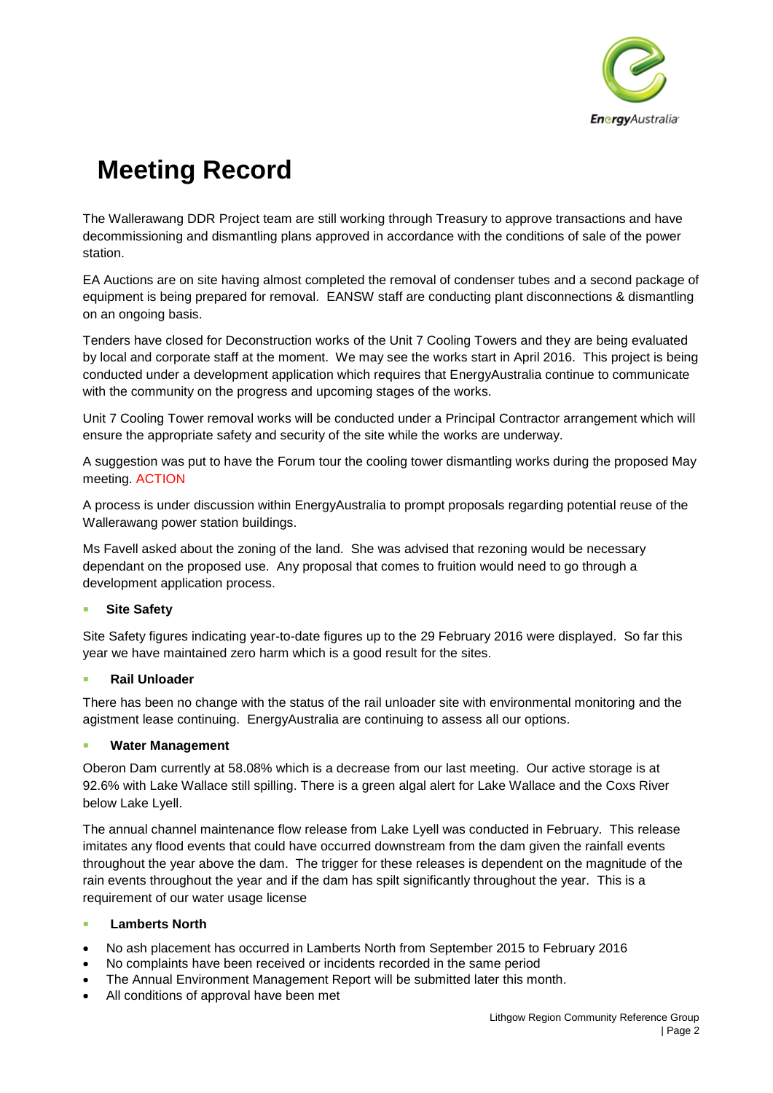

The Wallerawang DDR Project team are still working through Treasury to approve transactions and have decommissioning and dismantling plans approved in accordance with the conditions of sale of the power station.

EA Auctions are on site having almost completed the removal of condenser tubes and a second package of equipment is being prepared for removal. EANSW staff are conducting plant disconnections & dismantling on an ongoing basis.

Tenders have closed for Deconstruction works of the Unit 7 Cooling Towers and they are being evaluated by local and corporate staff at the moment. We may see the works start in April 2016. This project is being conducted under a development application which requires that EnergyAustralia continue to communicate with the community on the progress and upcoming stages of the works.

Unit 7 Cooling Tower removal works will be conducted under a Principal Contractor arrangement which will ensure the appropriate safety and security of the site while the works are underway.

A suggestion was put to have the Forum tour the cooling tower dismantling works during the proposed May meeting. ACTION

A process is under discussion within EnergyAustralia to prompt proposals regarding potential reuse of the Wallerawang power station buildings.

Ms Favell asked about the zoning of the land. She was advised that rezoning would be necessary dependant on the proposed use. Any proposal that comes to fruition would need to go through a development application process.

## **Site Safety**

Site Safety figures indicating year-to-date figures up to the 29 February 2016 were displayed. So far this year we have maintained zero harm which is a good result for the sites.

### **Rail Unloader**

There has been no change with the status of the rail unloader site with environmental monitoring and the agistment lease continuing. EnergyAustralia are continuing to assess all our options.

### **Water Management**

Oberon Dam currently at 58.08% which is a decrease from our last meeting. Our active storage is at 92.6% with Lake Wallace still spilling. There is a green algal alert for Lake Wallace and the Coxs River below Lake Lyell.

The annual channel maintenance flow release from Lake Lyell was conducted in February. This release imitates any flood events that could have occurred downstream from the dam given the rainfall events throughout the year above the dam. The trigger for these releases is dependent on the magnitude of the rain events throughout the year and if the dam has spilt significantly throughout the year. This is a requirement of our water usage license

### **Lamberts North**

- No ash placement has occurred in Lamberts North from September 2015 to February 2016
- No complaints have been received or incidents recorded in the same period
- The Annual Environment Management Report will be submitted later this month.
- All conditions of approval have been met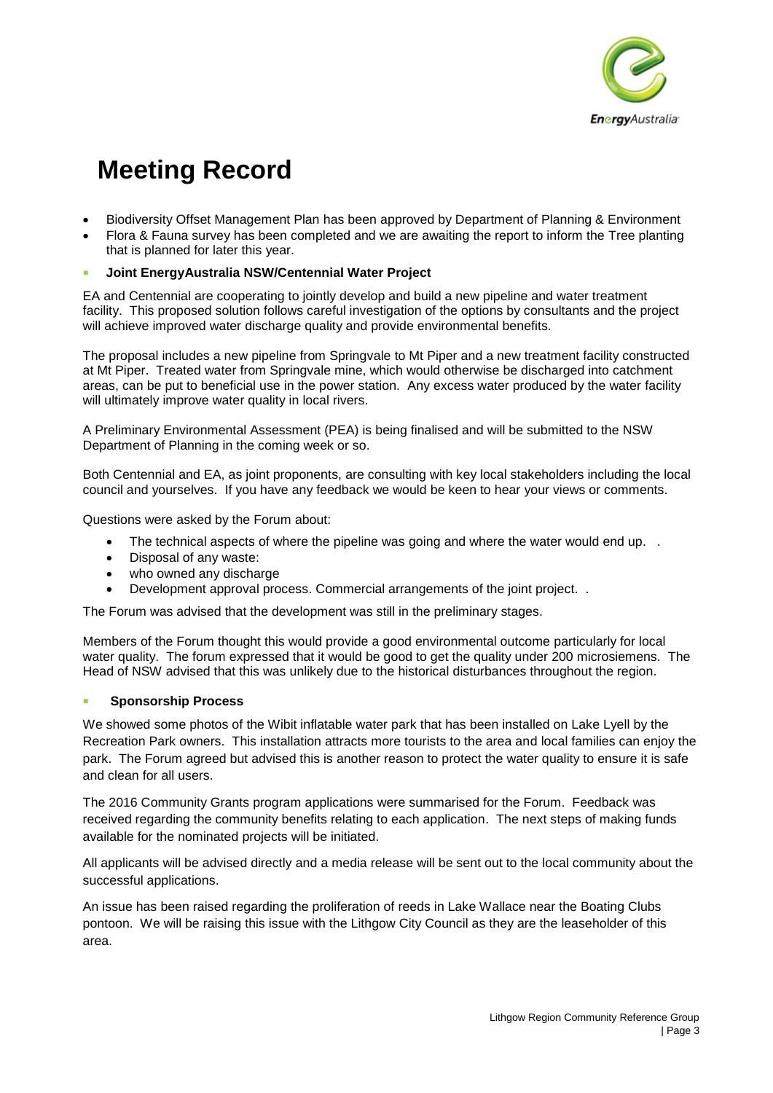

- Biodiversity Offset Management Plan has been approved by Department of Planning & Environment
- Flora & Fauna survey has been completed and we are awaiting the report to inform the Tree planting that is planned for later this year.

### **Joint EnergyAustralia NSW/Centennial Water Project**

EA and Centennial are cooperating to jointly develop and build a new pipeline and water treatment facility. This proposed solution follows careful investigation of the options by consultants and the project will achieve improved water discharge quality and provide environmental benefits.

The proposal includes a new pipeline from Springvale to Mt Piper and a new treatment facility constructed at Mt Piper. Treated water from Springvale mine, which would otherwise be discharged into catchment areas, can be put to beneficial use in the power station. Any excess water produced by the water facility will ultimately improve water quality in local rivers.

A Preliminary Environmental Assessment (PEA) is being finalised and will be submitted to the NSW Department of Planning in the coming week or so.

Both Centennial and EA, as joint proponents, are consulting with key local stakeholders including the local council and yourselves. If you have any feedback we would be keen to hear your views or comments.

Questions were asked by the Forum about:

- The technical aspects of where the pipeline was going and where the water would end up. .
- Disposal of any waste:
- who owned any discharge
- Development approval process. Commercial arrangements of the joint project. .

The Forum was advised that the development was still in the preliminary stages.

Members of the Forum thought this would provide a good environmental outcome particularly for local water quality. The forum expressed that it would be good to get the quality under 200 microsiemens. The Head of NSW advised that this was unlikely due to the historical disturbances throughout the region.

### **Sponsorship Process**

We showed some photos of the Wibit inflatable water park that has been installed on Lake Lyell by the Recreation Park owners. This installation attracts more tourists to the area and local families can enjoy the park. The Forum agreed but advised this is another reason to protect the water quality to ensure it is safe and clean for all users.

The 2016 Community Grants program applications were summarised for the Forum. Feedback was received regarding the community benefits relating to each application. The next steps of making funds available for the nominated projects will be initiated.

All applicants will be advised directly and a media release will be sent out to the local community about the successful applications.

An issue has been raised regarding the proliferation of reeds in Lake Wallace near the Boating Clubs pontoon. We will be raising this issue with the Lithgow City Council as they are the leaseholder of this area.